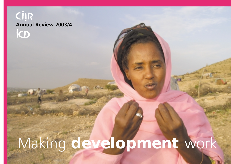# **CİIR Annual Review 2003/4 iCD** Making **development** work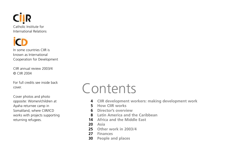

In some countries CIIR is known as International Cooperation for Development

CIIR annual review 2003/4 © CIIR 2004

For full credits see inside back cover.

Cover photos and photo opposite: Women/children at Ayaha returnee camp in Somaliland, where CIIR/ICD works with projects supporting returning refugees.

## Contents

- **4 CIIR development workers: making development work**
- **5 How CIIR works**
- **6 Director's overview**
- **8 Latin America and the Caribbean**
- **14 Africa and the Middle East**
- **20 Asia**
- **25 Other work in 2003/4**
- **27 Finances**
- **30 People and places**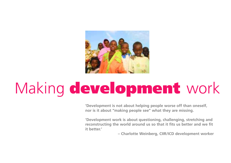

# Making **development** work

**'Development is not about helping people worse off than oneself, nor is it about "making people see" what they are missing.** 

**'Development work is about questioning, challenging, stretching and reconstructing the world around us so that it fits us better and we fit it better.'**

**– Charlotte Weinberg, CIIR/ICD development worker**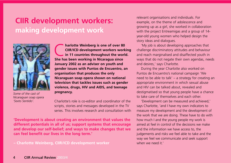## **CIIR development workers: making development work**



*Some of the cast of Nicaraguan soap opera 'Sexto Sentido'.*

**CHARLOTE CONSIDER IS ONE OF SO CONSIDER AND CONSIDER IN 11 countries throughout the world.**<br>She has been working in Nicaragua since **CIIR/ICD development workers working She has been working in Nicaragua since January 2002 as an adviser on youth and gender issues with Puntos de Encuentro, an organisation that produces the only Nicaraguan soap opera shown on national television that tackles issues such as gender violence, drugs, HIV and AIDS, and teenage pregnancy.**

Charlotte's role is co-editor and coordinator of the scripts, stories and messages developed in the TV series. This involves research and consultation with

**'Development is about creating an environment that values the different potentials in all of us; support systems that encourage and develop our self-belief; and ways to make changes that we can feel benefit our lives in the long term.'**

**– Charlotte Weinberg, CIIR/ICD development worker**

relevant organisations and individuals. For example, on the theme of adolescence and growing up as a girl, she worked in collaboration with the project Entreamigas and a group of 14 year-old young women who helped design the story ideas and dialogues.

'My job is about developing approaches that challenge discriminatory attitudes and behaviour and reach marginalised and disaffected youth in ways that do not negate their own agendas, needs and desires,' says Charlotte.

During the year Charlotte also worked on Puntos de Encuentro's national campaign 'We need to be able to talk' – a strategy for creating an appropriate environment in which sexual abuse and HIV can be talked about, revealed and destigmatised so that young people have a chance to take care of themselves and each other.

'Development can be measured and achieved,' says Charlotte, 'and I have my own indicators to measure my development and the development of the work that we are doing. These have to do with how much I and the young people my work is aimed at feel in control of the decisions we make and the information we have access to, the judgements and risks we feel able to take and the way we feel we communicate and seek support when we need it'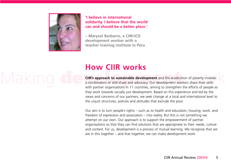

**'I believe in international solidarity. I believe that the world can and should be a better place.'**

**– Marysol Barbarro, a CIIR/ICD development worker with a teacher training institute in Peru**

## **How CIIR works**

**CIIR's approach to sustainable development** and the eradication of poverty involves<br>a combination of skill-share and advocacy. Our development workers share their skills **CIIR's approach to sustainable development** and the eradication of poverty involves a combination of skill-share and advocacy. Our development workers share their skills with partner organisations in 11 countries, aiming to strengthen the efforts of people as they work towards socially just development. Based on this experience and led by the views and concerns of our partners, we seek change at a local and international level to the unjust structures, policies and attitudes that exclude the poor.

> Our aim is to turn people's rights – such as to health and education, housing, work, and freedom of expression and association – into reality. But this is not something we attempt on our own. Our approach is to support the empowerment of partner organisations so that they can find solutions that are appropriate to their needs, culture and context. For us, development is a process of mutual learning. We recognise that we are in this together – and that together, we can make development work.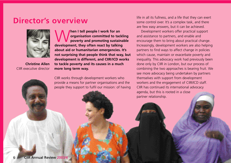#### **Director's overview**



**Christine Allen** CIIR executive director

**When I tell people I work for an**<br> **poverty and promoting sustainable**<br> **development** they often react by talking **organisation committed to tackling development, they often react by talking about aid or humanitarian emergencies. It's not surprising that people think that way, but development is different, and CIIR/ICD works to tackle poverty and its causes in a much more long term way.** 

CIIR works through development workers who provide a means for partner organisations and the people they support to fulfil our mission: of having life in all its fullness, and a life that they can exert some control over. It's a complex task, and there are few easy answers, but it can be achieved.

Development workers offer practical support and assistance to partners, and enable and encourage them to bring about practical change. Increasingly, development workers are also helping partners to find ways to affect change in policies which cause, maintain or exacerbate poverty and inequality. This advocacy work had previously been done only by CIIR in London, but our process of combining the two approaches is bearing fruit. We see more advocacy being undertaken by partners themselves with support from development workers and the engagement of CIIR/ICD staff. CIIR has continued its international advocacy agenda, but this is rooted in a close partner relationship.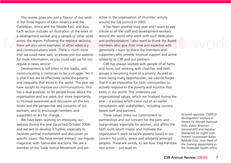This review gives you just a flavour of our work in the three regions of Latin America and the Caribbean, Africa and the Middle East, and Asia. Each section includes an illustration of the work of a development worker and a sample of other work across the region. Following the regional sections, there are also some examples of other advocacy and communications work. There is much more that we could have said, so please visit our website for more information, or you could sign up for our regular e-news service!

Development is not often in the media, and communicating it continues to be a struggle. Yet it is vital if we are to effectively tackle the poverty and inequality that exists in the world. This year we have sought to improve our communications. This has a dual purpose: to let people know about the organisation and our work, but more importantly, to increase awareness and discussion on the key issues and the perspective and concerns of our partners, and to encourage members and supporters to act for change.

We have been working on improving our website during the year (launched October 2004) and we aim to develop it further, especially to facilitate partner involvement and discussion on specific issues. We have revised *Interact*, our regular magazine, with favourable reactions. We are a member of the Trade Justice Movement and are

active in the organisation of churches' activity around the G8 summit in 2005.

a development worker and a sample of other work around the world who work with such dedication<br>across the region. Following the regional sections, and professionalism. I also want to thank the Board<br>there are also some exa It has been another busy year and I want to pay tribute to all the staff and development workers around the world who work with such dedication and professionalism. I also want to thank the Board members who give their time and expertise with generosity. I want to thank the members and supporters who provide financial support and active solidarity to CIIR and our partners.

> CIIR has always worked with people of all faiths and none, but working with churches and faith groups is becoming more of a priority. As well as there being many opportunities, we cannot forget that it is an imperative for faith communities to actively respond to the poverty and injustice that exists in our world. This underpins our organisational values, which we finalised during the year – a process which came out of an earlier consultation with stakeholders, including country based staff and partners.

> These values stress our commitment to partnerships and our concern for the poor and marginalised, especially for women, and affirm the faith roots which inspire and motivate the organisation's work to tackle poverty based in our concern for justice, peace and solidarity amongst peoples. These are words; to see how they translate into action – just read on.

*Pictured opposite: CIIR/ICD development workers in Yemen Dr Ahmed Hamoud (left), Zahra Nouman (second left) and Hassina Mohamed Ali (right) with Yemeni counterpart Bahja Abdulla Essa, now head of the training department in the Hodeidah health office.*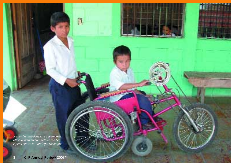*Joarlin (in wheelchair), a seven-yearold boy with spina bifida at the Los Pipitos centre in Condega, Nicaragua* Ø,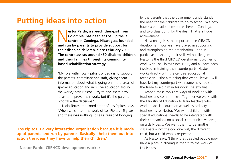#### **Putting ideas into action**



**cestor Pardo, a speech therapist from**<br> **colombia, has been at Los Pipitos, a**<br>
centre in Condega, Nicaragua, founded<br>
and run by parents to provide support for **Colombia, has been at Los Pipitos, a and run by parents to provide support for their disabled children, since February 2003. The centre assists around 450 disabled children and their families through its community based rehabilitation strategy.**

'My role within Los Pipitos Condega is to support the parents' committee and staff, giving them information about what is going on in the areas of special education and inclusive education around the world,' says Nestor. 'I try to give them new ideas to improve their work, but it's the parents who take the decisions.'

Nidia Torres, the coordinator of Los Pipitos, says: 'When we started the work of Los Pipitos 15 years ago there was nothing. It's as a result of lobbying

**'Los Pipitos is a very interesting organisation because it is made up of parents and run by parents. Basically I help them put into action the ideas they have to help their children.'**

**– Nestor Pardo, CIIR/ICD development worker**

by the parents that the government understands the need for their children to go to school. We now have six educational resources here in Condega, and two classrooms for the deaf. That is a huge achievement.'

Nidia recognises the important role CIIR/ICD development workers have played in supporting and strengthening the organisation – and in particular, in sharing their skills with colleagues. Nestor is the third CIIR/ICD development worker to work with Los Pipitos since 1996, and all have been involved in training their counterparts. Nestor works directly with the centre's educational technician – 'the aim being that when I leave, I will have left my counterpart with some new tools of the trade to aid him in his work,' he explains.

Among these tools are ways of working with teachers and communities. 'Together we work with the Ministry of Education to train teachers who work in special education as well as ordinary teachers,' says Nestor. 'We want children [with special educational needs] to be integrated with their companions on a social, communicative level, on a daily basis. We want them to be another classmate – not the odd one out, the different child, but a child who is respected.'

As Nestor says: 'I think that disabled people now have a place in Nicaragua thanks to the work of Los Pipitos.'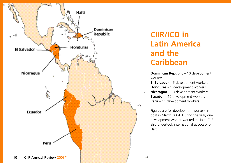

## **CIIR/ICD in Latin America and the Caribbean**

**Dominican Republic - 10 development** workers

**El Salvador** – 5 development workers **Honduras** – 9 development workers

ż. **Nicaragua** – 13 development workers **Ecuador** – 12 development workers **Peru** – 11 development workers

Figures are for development workers in post in March 2004. During the year, one development worker worked in Haiti; CIIR also undertook international advocacy on Haiti.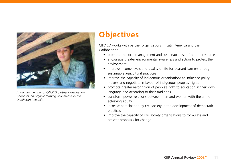

*A woman member of CIIR/ICD partner organisation Coopasol, an organic farming cooperative in the Dominican Republic.*

#### **Objectives**

CIIR/ICD works with partner organisations in Latin America and the Caribbean to:

- promote the local management and sustainable use of natural resources
- encourage greater environmental awareness and action to protect the environment
- improve income levels and quality of life for peasant farmers through sustainable agricultural practices
- improve the capacity of indigenous organisations to influence policymakers and negotiate in favour of indigenous peoples' rights
- promote greater recognition of people's right to education in their own language and according to their traditions
- transform power relations between men and women with the aim of achieving equity
- increase participation by civil society in the development of democratic practices
- improve the capacity of civil society organisations to formulate and present proposals for change.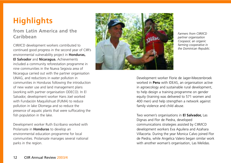## **Highlights**

#### **from Latin America and the Caribbean**

CIIR/ICD development workers contributed to continued good progress in the second year of CIIR's environmental vulnerability project in **Honduras, El Salvador** and **Nicaragua.** Achievements included a community reforestation programme in nine communities in the Nueva Segovia area of Nicaragua carried out with the partner organisation UNAG, and reductions in water pollution in communities in Honduras following the introduction of new water use and land management plans (working with partner organisation ODECO). In El Salvador, development worker Hans Joel worked with Fundación Maquilishuat (FUMA) to reduce pollution in lake Olomega and so reduce the presence of aquatic plants that were suffocating the fish population in the lake.

Development worker Ruth Escribano worked with Prolansate in **Honduras** to develop an environmental education programme for local communities. Prolansate manages several national parks in the region.



*Farmers from CIIR/ICD partner organisation Coopasol, an organic farming cooperative in the Dominican Republic.*

Development worker Florie de Jager-Meezenbroek worked in **Peru** with IDEAS, an organisation active in agroecology and sustainable rural development, to help design a training programme on gender equity (training was delivered to 571 women and 400 men) and help strengthen a network against family violence and child abuse.

Two women's organisations in **El Salvador,** Las Dignas and Flor de Piedra, developed communications strategies assisted by CIIR/ICD development workers Eva Aguilera and Azahara Villacorta. During the year Monica Calvo joined Flor de Piedra, while Angelica Valero began similar work with another woman's organisation, Las Melidas.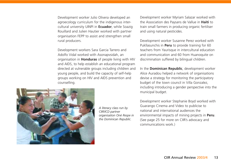Development worker Julio Olivera developed an agroecology curriculum for the indigenous intercultural university UINPI in **Ecuador**, while Soazig Rouillard and Julien Hautier worked with partner organisation FEPP to assist and strengthen small rural producers.

Development workers Sara Garcia Tarrero and Adolfo Vidal worked with Asonapvsidah, an organisation in **Honduras** of people living with HIV and AIDS, to help establish an educational program directed at vulnerable groups including children and young people, and build the capacity of self-help groups working on HIV and AIDS prevention and counselling.

> *A literacy class run by CIIR/ICD partner organisation Oné Respe in the Dominican Republic.*

Development worker Myriam Salazar worked with the Association des Paysans de Vallue in **Haiti** to train small farmers in producing organic fertiliser and using natural pesticides.

Development worker Susanne Perez worked with Pukllasunchis in **Peru** to provide training for 60 teachers from Yaurisque in intercultural education and communication and 60 from Huanoquite on discrimination suffered by bilingual children.

In the **Dominican Republic**, development worker Alice Auradou helped a network of organisations devise a strategy for monitoring the participatory budget of the town council in Villa Gonzalez, including introducing a gender perspective into the municipal budget.

Development worker Stephanie Boyd worked with Guarango Cinema and Video to publicise to national and international audiences the environmental impacts of mining projects in **Peru**. (See page 25 for more on CIIR's advocacy and communications work.)

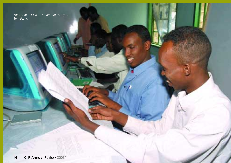*The computer lab at Amoud university in Somaliland*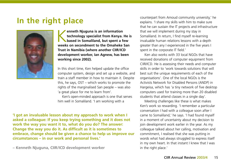## **In the right place**



**kenneth Njuguna is an information<br>
technology specialist from Kenya. He<br>
based in Somaliland, but spent a few<br>
weeks on secondment to the Omaheke San technology specialist from Kenya. He is weeks on secondment to the Omaheke San Trust in Namibia (where another CIIR/ICD development worker, Ian Agnew, has been working since 2002).**

In this short time, Ken helped update the office computer system, design and set up a website, and train a staff member in how to maintain it. Despite this, he says, OST – which works to promote the rights of the marginalised San people – was also 'a great place for me to learn from'.

Ken's open-minded approach is one that serves him well in Somaliland. 'I am working with a

**'I got an invaluable lesson about my approach to work when I asked a colleague: If you keep trying something and it does not work the way you want it to, what do you do? The answer: Change the way you do it. As difficult as it is sometimes to embrace, change should be given a chance to help us improve our circumstances – in our work and personal lives.'**

**– Kenneth Njuguna, CIIR/ICD development worker** 

counterpart from Amoud community university,' he explains. 'I share my skills with him to make sure that he can sustain the IT projects and infrastructure that we will implement during my stay in Somaliland. In return, I find myself re-learning invaluable human relations lessons with a depth greater than any I experienced in the five years I spent in the corporate IT field.'

Ken also works with 33 local NGOs that have received donations of computer equipment from CIIR/ICD. He is assessing their needs and computer skills in order to 'work towards solutions that will best suit the unique requirements of each of the organisations'. One of the local NGOs is the Activists Network for Disabled Persons (ANDP) in Hargeisa, which has 'a tiny network of five desktop computers used for training more than 20 disabled students that attend classes in a single day'.

Meeting challenges like these is what makes Ken's work so rewarding. 'I remember a particular conversation I had with a colleague soon after I came to Somaliland,' he says. 'I had found myself in a moment of uncertainty about my decision to join development work earlier in the year. As my colleague talked about her calling, motivation and commitment, I realised that she was putting in words what had always struggled to express itself in my own heart. In that instant I knew that I was in the right place.'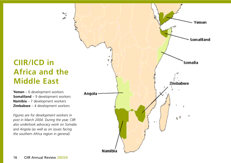## **CIIR/ICD in Africa and the Middle East**

 $\mathbf{r}_i$ .<br>الاه

**Yemen** – 6 development workers **Somaliland** – 9 development workers **Namibia** – 7 development workers **Zimbabwe** – 4 development workers

*Figures are for development workers in post in March 2004. During the year, CIIR also undertook advocacy work on Somalia and Angola (as well as on issues facing the southern Africa region in general).*

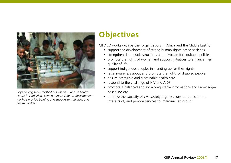

*Boys playing table football outside the Rabassa health centre in Hodeidah, Yemen, where CIIR/ICD development workers provide training and support to midwives and health workers.*

## **Objectives**

CIIR/ICD works with partner organisations in Africa and the Middle East to:

- support the development of strong human-rights-based societies
- strengthen democratic structures and advocate for equitable policies
- promote the rights of women and support initiatives to enhance their quality of life
- support indigenous peoples in standing up for their rights
- raise awareness about and promote the rights of disabled people
- ensure accessible and sustainable health care
- respond to the challenge of HIV and AIDS
- promote a balanced and socially equitable information- and knowledgebased society
- improve the capacity of civil society organisations to represent the interests of, and provide services to, marginalised groups.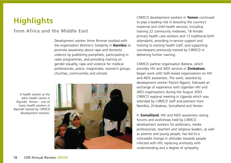## **Highlights**

#### **from Africa and the Middle East**

Development worker Anne Rimmer worked with the organisation Women's Solidarity in **Namibia** to promote awareness about rape and domestic violence by publishing pamphlets, participating in radio programmes, and providing training on gender equality, rape and violence for medical professionals, police, magistrates, women's groups, churches, communities and schools.

*A health worker at the Jebin health centre in Raymah, Yemen – one of many health workers in Raymah trained by CIIR/ICD development workers.*



CIIR/ICD development workers in **Yemen** continued to play a leading role in boosting the country's maternal and child health services, including training 22 community midwives, 18 female primary health care workers and 13 traditional birth attendants, providing in-service support and training to existing health staff, and supporting counterparts previously trained by CIIR/ICD in delivering further training.

CIIR/ICD partner organisation Batsirai, which provides HIV and AIDS services in **Zimbabwe**, began work with faith-based organisations on HIV and AIDS awareness. The work, assisted by development worker Patrick Nganzi, followed an exchange of experience with Ugandan HIV and AIDS organisations during the August 2003 CIIR/ICD regional meeting in Uganda which was attended by CIIR/ICD staff and partners from Namibia, Zimbabwe, Somaliland and Yemen.

In **Somaliland**, HIV and AIDS awareness raising forums and workshops held by CIIR/ICD development workers for politicians, media professionals, teachers and religious leaders, as well as parents and young people, has led to a noticeable change in attitudes towards people infected with HIV, replacing animosity with understanding and a degree of sympathy.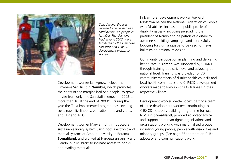

*Sofia Jacobs, the first woman to be chosen as a chief by the San people in Namibia. The elections, held in June 2003, were facilitated by the Omaheke San Trust and CIIR/ICD development worker Ian Agnew.* 

Development worker Ian Agnew helped the Omaheke San Trust in **Namibia**, which promotes the rights of the marginalised San people, to grow in size from only one San staff member in 2002 to more than 10 at the end of 2003/4. During the year the Trust implemented programmes covering sustainable livelihoods, education, arts and crafts, and HIV and AIDS.

Development worker Mary Enright introduced a sustainable library system using both electronic and manual systems at Amoud university in Borama, **Somaliland**, and worked at Hargeisa university and Gandhi public library to increase access to books and reading materials.

In **Namibia**, development worker Forward Mlotshwa helped the National Federation of People with Disabilities increase the public profile of disability issues – including persuading the president of Namibia to be patron of a disability awareness building campaign, and successfully lobbying for sign language to be used for news bulletins on national television.

Community participation in planning and delivering health care in **Yemen** was supported by CIIR/ICD through training at district level and advocacy at national level. Training was provided for 70 community members of district health councils and local health committees and CIIR/ICD development workers made follow-up visits to trainees in their respective villages.

Development worker Yvette Lopez, part of a team of three development workers contributing to CIIR/ICD's capacity building programme for local NGOs in **Somaliland**, provided advocacy advice and support to human rights organisations and organisations working with marginalised groups including young people, people with disabilities and minority groups. (See page 25 for more on CIIR's advocacy and communications work.)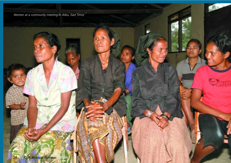*Women at a community meeting in Aileu, East Timor*

**Start** 

 $\heartsuit$ un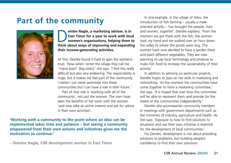#### **Part of the community**



**eirdre Nagle, a marketing adviser, is in**<br> **East Timor for a year to work with local**<br>
women's organisations, helping them to<br>
think about wave of improving and expanding **East Timor for a year to work with local think about ways of improving and expanding their income-generating activities.**

At first, Deirdre found it hard to gain the women's trust. 'Now when I enter the village they call me "mana boot" [big sister],' she says. 'I find this really difficult but also very endearing. The responsibility is huge, but it makes me feel part of the community. I realise I can never assimilate into these communities but I can have a role in their future.'

Part of that role is 'working with all of the community', not just the women. The men have seen the benefits of her work with the women 'and now take an active interest and ask for advice in their own activities'.

**'Working with a community to the point where an idea can be implemented takes time and patience – but seeing a community empowered from their own actions and initiatives gives me the motivation to continue.'**

**– Deirdre Nagle, CIIR development worker in East Timor**

In one example, in the village of Aileu, the introduction of fish farming – usually a maleoriented activity – 'has brought the people, men and women, together'. Deirdre explains: 'From the moment we got there with the fish, the women took my hand and we walked over an hour down the valley to where the ponds were dug. The women have now decided to have a garden there and plant different vegetables. They are now planning to use local technology and produce to make fish food to increase the sustainability of their activity.'

In addition to advising on particular projects, Deirdre hopes to pass on her skills in marketing and networking. 'At the moment the communities have come together to form a marketing committee,' she says. 'It is hoped that over time this committee will be able to represent them and provide for the needs of the communities independently.'

Deirdre also accompanies community members in meetings with government departments such as the ministries of industry, agriculture and health. As she says: 'Exposure to how to find solutions to situations and use their own initiative is essential for the development of local communities.'

For Deirdre, development is not about providing solutions to problems, but building people's confidence to find their own solutions.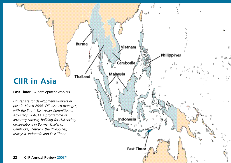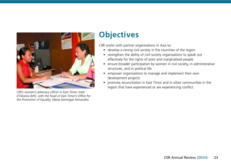

*CIIR's women's advocacy officer in East Timor, Ivete d'Oliveira (left), with the head of East Timor's Office for the Promotion of Equality, Maria Domingas Fernandes.*

### **Objectives**

CIIR works with partner organisations in Asia to:

- develop a strong civil society in the countries of the region
- strengthen the ability of civil society organisations to speak out effectively for the rights of poor and marginalised people
- ensure broader participation by women in civil society, in administrative structures, and in political life
- empower organisations to manage and implement their own development projects
- promote reconciliation in East Timor and in other communities in the region that have experienced or are experiencing conflict.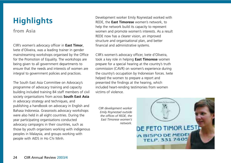## **Highlights**

**from Asia**

CIIR's women's advocacy officer in **East Timor**, Ivete d'Oliveira, was a leading trainer in gender mainstreaming workshops organised by the Office for the Promotion of Equality. The workshops are being given to all government departments to ensure that the needs and interests of women are integral to government policies and practices.

The South East Asia Committee on Advocacy's programme of advocacy training and capacity building included training 84 staff members of civil society organisations from across **South East Asia** in advocacy strategy and techniques, and publishing a handbook on advocacy in English and Bahasa Indonesia. Grassroots advocacy workshops were also held in all eight countries. During the year participating organisations conducted advocacy campaigns in their countries, such as those by youth organisers working with indigenous peoples in Malaysia, and groups working with people with AIDS in Ho Chi Minh.

Development worker Emily Roynestad worked with REDE, the **East Timorese** women's network, to help the network build its capacity to represent women and promote women's interests. As a result REDE now has a clearer vision, an improved structure and organisational plan, and better financial and administrative systems.

CIIR's women's advocacy officer, Ivete d'Oliveira, took a key role in helping **East Timorese** women prepare for a special hearing at the country's truth commission (CAVR) on women's experience during the country's occupation by Indonesian forces. Ivete helped the women to prepare a report and presented the findings at the hearing, which included heart-rending testimonies from women victims of violence.

*CIIR development worker Emily Roynestad outside the offices of REDE, the East Timorese women's network.*

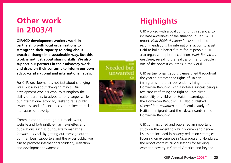## **Other work in 2003/4**

**CIIR/ICD development workers work in partnership with local organisations to strengthen their capacity to bring about practical change in a sustainable way. But this work is not just about sharing skills. We also support our partners in their advocacy work, and draw on their concerns to inform our own advocacy at national and international levels.** 

For CIIR, development is not just about changing lives, but also about changing minds. Our development workers work to strengthen the ability of partners to advocate for change, while our international advocacy seeks to raise public awareness and influence decision-makers to tackle the causes of poverty.

Communication – through our media work, website and fortnightly e-mail newsletter, and publications such as our quarterly magazine *Interact* – is vital. By getting our message out to our members, supporters and the wider public, we aim to promote international solidarity, reflection and development awareness.

Needed but unwanted



## **Highlights**

CIIR worked with a coalition of British agencies to increase awareness of the situation in Haiti. A CIIR report, *Haiti 2004: A nation in crisis*, included recommendations for international action to assist Haiti to build a better future for its people. CIIR also organised a photo exhibition, *Haiti: Behind the headlines*, revealing the realities of life for people in one of the poorest countries in the world.

CIIR partner organisations campaigned throughout the year to promote the rights of Haitian immigrants and their descendants living in the Dominican Republic, with a notable success being a test case confirming the right to Dominican nationality of children of Haitian parentage born in the Dominican Republic. CIIR also published *Needed but unwanted*, an influential study of Haitian immigrants and their descendants in the Dominican Republic.

CIIR commissioned and published an important study on the extent to which women and gender issues are included in poverty reduction strategies. Focusing on experience in Nicaragua and Honduras, the report contains crucial lessons for tackling women's poverty in Central America and beyond.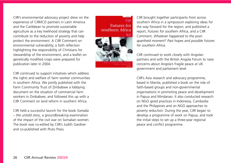CIIR's environmental advocacy project drew on the experience of CIIR/ICD partners in Latin America and the Caribbean to promote sustainable agriculture as a key livelihood strategy that can contribute to the reduction of poverty and help protect the environment. A CIIR Comment on environmental vulnerability, a faith reflection highlighting the responsibility of Christians for stewardship of the environment, and a leaflet on genetically modified crops were prepared for publication later in 2004.

CIIR continued to support initiatives which address the rights and welfare of farm worker communities in southern Africa. We jointly published with the Farm Community Trust of Zimbabwe a lobbying document on the situation of commercial farm workers in Zimbabwe, and followed this up with a CIIR Comment on land reform in southern Africa.

CIIR held a successful launch for the book *Somalia – the untold story*, a groundbreaking examination of the impact of the civil war on Somalian women. The book was co-edited by CIIR's Judith Gardner and co-published with Pluto Press.



CIIR brought together participants from across southern Africa in a symposium exploring ideas for the way forward for the region, and published a report, *Futures for southern Africa*, and a CIIR Comment, *Whatever happened to the postapartheid moment? Past hopes and possible futures for southern Africa*.

CIIR continued to work closely with Angolan partners and with the British Angola Forum to raise concerns about Angola's fragile peace at UK government and parliament level.

CIIR's Asia research and advocacy programme, based in Manila, published a book on the role of faith-based groups and non-governmental organisations in promoting peace and development in Papua and Mindanao. It also conducted research on NGO good practices in Indonesia, Cambodia and the Philippines and on NGO approaches to poverty reduction. During the year, CIIR began to develop a programme of work on Papua, and took the initial steps to set up a three-year regional peace and conflict programme.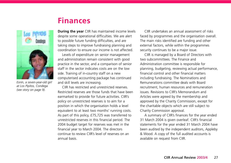#### **Finances**



*Esnín, a seven-year-old girl at Los Pipitos, Condega (see story on page 9).*

**During the year** CIIR has maintained income levels despite some operational difficulties. We are alert to possible future funding difficulties, and are taking steps to improve fundraising planning and coordination to ensure our income is not affected.

Levels of expenditure on senior management and administration remain consistent with good practice in the sector, and a comparison of senior staff in the sector indicates costs are on the low side. Training of in-country staff on a new computerised accounting package has continued and skill levels are increasing.

CIIR has restricted and unrestricted reserves. Restricted reserves are those funds that have been earmarked to provide for future activities. CIIR's policy on unrestricted reserves is to aim for a position in which the organisation holds a level equivalent to at least two months' running costs. As part of this policy, £75,725 was transferred to unrestricted reserves in this financial period. The 2004 budget target for reserves was met in the financial year to March 2004. The directors continue to review CIIR's level of reserves on an annual basis.

CIIR undertakes an annual assessment of risks faced by programmes and the organisation overall. The main risks identified are funding and other external factors, while within the programmes security continues to be a major issue.

CIIR is managed by a Board of Directors with two subcommittees. The Finance and Administration committee is responsible for planning, budgeting, reviewing actual performance, financial control and other financial matters including fundraising. The Nominations and Remunerations committee deals with Board recruitment, human resources and remuneration issues. Revisions to CIIR's Memorandum and Articles were agreed by the membership and approved by the Charity Commission, except for the charitable objects which are still subject to Charity Commission approval.

A summary of CIIR's finances for the year ended 31 March 2004 is given overleaf. CIIR's financial statements for the year ended 31 March 2004 have been audited by the independent auditors, Appleby & Wood. A copy of the full audited accounts is available on request from CIIR.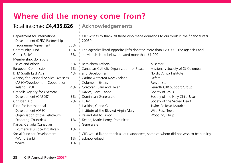## **Where did the money come from?**

#### Total income: **£4,435,826**

#### Department for International Development (DFID) Partnership Programme Agreement 53% Community Fund 13% Comic Relief 6% Membership, donations, sales and others 6% European Commission 5% DFID South East Asia 4% Agency for Personal Service Overseas (APSO)/Development Cooperation Ireland (DCI) 4% Catholic Agency for Overseas Development (CAFOD) 3% Christian Aid 2% Fund for International Development (OPEC – Organisation of the Petroleum Exporting Countries) 1% Kairos, Canada (Canadian Ecumenical Justice Initiatives) 1% Social Fund for Development (World Bank) 1% Trocaire 1%

#### **Acknowledgements**

CIIR wishes to thank all those who made donations to our work in the financial year 2003/4.

The agencies listed opposite (left) donated more than £20,000. The agencies and individuals listed below donated more than £1,000:

Bethlehem Fathers Canadian Catholic Organisation for Peace and Development Caritas Aotearoa New Zealand Columban Sisters Corcoran, Sam and Helen Davies, Revd Canon P Dominican Generalate Fuller, R C Haskins, C and G Institute of the Blessed Virgin Mary Ireland Aid to Timor Keane, Marie-Henry, Dominican Generalate

Misereor Missionary Society of St Columban Nordic Africa Institute Oxfam Passionists Penarth CIIR Support Group Society of Jesus Society of the Holy Child Jesus Society of the Sacred Heart Taylor, Rt Revd Maurice Wild Rose Trust Wooding, Philip

CIIR would like to thank all our supporters, some of whom did not wish to be publicly acknowledged.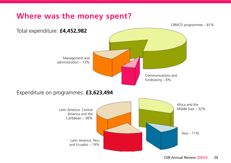## **Where was the money spent?**

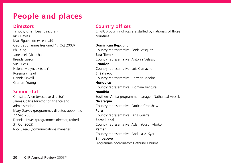## **People and places**

#### **Directors**

Timothy Chambers (treasurer) Rick Davies Max Figueiredo (vice chair) George Johannes (resigned 17 Oct 2003) Phil King Jane Leek (vice chair) Brenda Lipson Sue Lucas Helena Molyneux (chair) Rosemary Read Dennis Sewell Graham Young

#### **Senior staff**

Christine Allen (executive director) James Collins (director of finance and administration) Mary Garvey (programmes director, appointed 22 Sep 2003) Dennis Hawes (programmes director, retired 31 Oct 2003) Nick Sireau (communications manager)

#### **Country offices**

CIIR/ICD country offices are staffed by nationals of those countries.

#### **Dominican Republic**

Country representative: Sonia Vasquez **East Timor** Country representative: Antonia Velasco **Ecuador** Country representative: Luis Camacho **El Salvador** Country representative: Carmen Medina **Honduras** Country representative: Xiomara Ventura **Namibia** Southern Africa programme manager: Nathaneal Areseb **Nicaragua** Country representative: Patricio Cranshaw **Peru** Country representative: Dina Guerra **Somaliland** Country representative: Adan Yousuf Abokor **Yemen**

Country representative: Abdulla Al Syari

#### **Zimbabwe**

Programme coordinator: Cathrine Chirima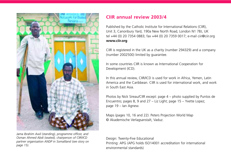

*Jama Ibrahim Awil (standing), programme officer, and Osman Ahmed Abdi (seated), chairperson of CIIR/ICD partner organisation ANDP in Somaliland (see story on page 15).*

#### **CIIR annual review 2003/4**

Published by the Catholic Institute for International Relations (CIIR), Unit 3, Canonbury Yard, 190a New North Road, London N1 7BJ, UK tel +44 (0) 20 7354 0883; fax +44 (0) 20 7359 0017; e-mail ciir@ciir.org **www.ciir.org**

CIIR is registered in the UK as a charity (number 294329) and a company (number 2002500) limited by guarantee.

In some countries CIIR is known as International Cooperation for Development (ICD).

In this annual review, CIIR/ICD is used for work in Africa, Yemen, Latin America and the Caribbean. CIIR is used for international work, and work in South East Asia.

Photos by Nick Sireau/CIIR except: page 4 – photo supplied by Puntos de Encuentro; pages 8, 9 and 27 – Liz Light; page 15 – Yvette Lopez; page 19 – Ian Agnew.

Maps (pages 10, 16 and 22): Peters Projection World Map © Akademische Verlagsanstalt, Vaduz.

Design: Twenty-Five Educational Printing: APG (APG holds ISO14001 accreditation for international environmental standards)